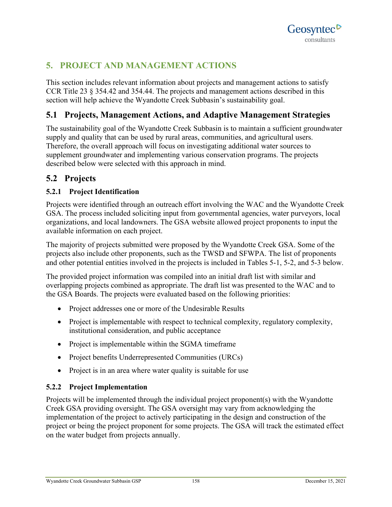

# **5. PROJECT AND MANAGEMENT ACTIONS**

This section includes relevant information about projects and management actions to satisfy CCR Title 23 § 354.42 and 354.44. The projects and management actions described in this section will help achieve the Wyandotte Creek Subbasin's sustainability goal.

# **5.1 Projects, Management Actions, and Adaptive Management Strategies**

The sustainability goal of the Wyandotte Creek Subbasin is to maintain a sufficient groundwater supply and quality that can be used by rural areas, communities, and agricultural users. Therefore, the overall approach will focus on investigating additional water sources to supplement groundwater and implementing various conservation programs. The projects described below were selected with this approach in mind.

# **5.2 Projects**

# **5.2.1 Project Identification**

Projects were identified through an outreach effort involving the WAC and the Wyandotte Creek GSA. The process included soliciting input from governmental agencies, water purveyors, local organizations, and local landowners. The GSA website allowed project proponents to input the available information on each project.

The majority of projects submitted were proposed by the Wyandotte Creek GSA. Some of the projects also include other proponents, such as the TWSD and SFWPA. The list of proponents and other potential entities involved in the projects is included in Tables 5-1, 5-2, and 5-3 below.

The provided project information was compiled into an initial draft list with similar and overlapping projects combined as appropriate. The draft list was presented to the WAC and to the GSA Boards. The projects were evaluated based on the following priorities:

- Project addresses one or more of the Undesirable Results
- Project is implementable with respect to technical complexity, regulatory complexity, institutional consideration, and public acceptance
- Project is implementable within the SGMA timeframe
- Project benefits Underrepresented Communities (URCs)
- Project is in an area where water quality is suitable for use

# **5.2.2 Project Implementation**

Projects will be implemented through the individual project proponent(s) with the Wyandotte Creek GSA providing oversight. The GSA oversight may vary from acknowledging the implementation of the project to actively participating in the design and construction of the project or being the project proponent for some projects. The GSA will track the estimated effect on the water budget from projects annually.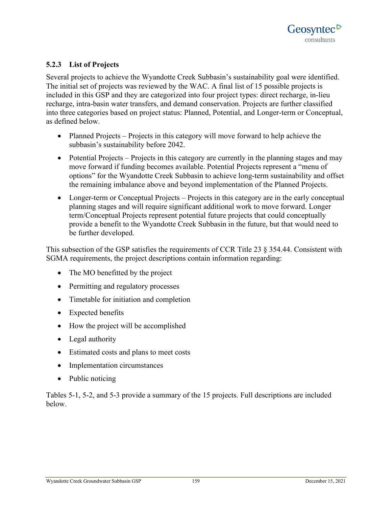# **5.2.3 List of Projects**

Several projects to achieve the Wyandotte Creek Subbasin's sustainability goal were identified. The initial set of projects was reviewed by the WAC. A final list of 15 possible projects is included in this GSP and they are categorized into four project types: direct recharge, in-lieu recharge, intra-basin water transfers, and demand conservation. Projects are further classified into three categories based on project status: Planned, Potential, and Longer-term or Conceptual, as defined below.

- Planned Projects Projects in this category will move forward to help achieve the subbasin's sustainability before 2042.
- Potential Projects Projects in this category are currently in the planning stages and may move forward if funding becomes available. Potential Projects represent a "menu of options" for the Wyandotte Creek Subbasin to achieve long-term sustainability and offset the remaining imbalance above and beyond implementation of the Planned Projects.
- Longer-term or Conceptual Projects Projects in this category are in the early conceptual planning stages and will require significant additional work to move forward. Longer term/Conceptual Projects represent potential future projects that could conceptually provide a benefit to the Wyandotte Creek Subbasin in the future, but that would need to be further developed.

This subsection of the GSP satisfies the requirements of CCR Title 23 § 354.44. Consistent with SGMA requirements, the project descriptions contain information regarding:

- The MO benefitted by the project
- Permitting and regulatory processes
- Timetable for initiation and completion
- Expected benefits
- How the project will be accomplished
- Legal authority
- Estimated costs and plans to meet costs
- Implementation circumstances
- Public noticing

Tables 5-1, 5-2, and 5-3 provide a summary of the 15 projects. Full descriptions are included below.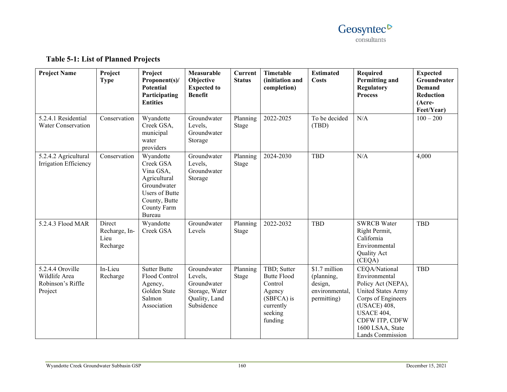

| <b>Project Name</b>                                               | Project<br><b>Type</b>                      | Project<br>Proponent(s)/<br><b>Potential</b><br>Participating<br><b>Entities</b>                                                      | Measurable<br>Objective<br><b>Expected to</b><br><b>Benefit</b>                        | <b>Current</b><br><b>Status</b> | Timetable<br>(initiation and<br>completion)                                                             | <b>Estimated</b><br><b>Costs</b>                                        | Required<br><b>Permitting and</b><br>Regulatory<br><b>Process</b>                                                                                                                        | <b>Expected</b><br>Groundwater<br><b>Demand</b><br>Reduction<br>(Acre-<br>Feet/Year) |
|-------------------------------------------------------------------|---------------------------------------------|---------------------------------------------------------------------------------------------------------------------------------------|----------------------------------------------------------------------------------------|---------------------------------|---------------------------------------------------------------------------------------------------------|-------------------------------------------------------------------------|------------------------------------------------------------------------------------------------------------------------------------------------------------------------------------------|--------------------------------------------------------------------------------------|
| 5.2.4.1 Residential<br>Water Conservation                         | Conservation                                | Wyandotte<br>Creek GSA,<br>municipal<br>water<br>providers                                                                            | Groundwater<br>Levels,<br>Groundwater<br>Storage                                       | Planning<br>Stage               | 2022-2025                                                                                               | To be decided<br>(TBD)                                                  | N/A                                                                                                                                                                                      | $100 - 200$                                                                          |
| 5.2.4.2 Agricultural<br>Irrigation Efficiency                     | Conservation                                | Wyandotte<br>Creek GSA<br>Vina GSA,<br>Agricultural<br>Groundwater<br><b>Users of Butte</b><br>County, Butte<br>County Farm<br>Bureau | Groundwater<br>Levels,<br>Groundwater<br>Storage                                       | Planning<br>Stage               | 2024-2030                                                                                               | <b>TBD</b>                                                              | N/A                                                                                                                                                                                      | 4,000                                                                                |
| 5.2.4.3 Flood MAR                                                 | Direct<br>Recharge, In-<br>Lieu<br>Recharge | Wyandotte<br>Creek GSA                                                                                                                | Groundwater<br>Levels                                                                  | Planning<br>Stage               | 2022-2032                                                                                               | <b>TBD</b>                                                              | <b>SWRCB Water</b><br>Right Permit,<br>California<br>Environmental<br>Quality Act<br>(CEQA)                                                                                              | <b>TBD</b>                                                                           |
| 5.2.4.4 Oroville<br>Wildlife Area<br>Robinson's Riffle<br>Project | In-Lieu<br>Recharge                         | <b>Sutter Butte</b><br>Flood Control<br>Agency,<br>Golden State<br>Salmon<br>Association                                              | Groundwater<br>Levels,<br>Groundwater<br>Storage, Water<br>Quality, Land<br>Subsidence | Planning<br>Stage               | TBD; Sutter<br><b>Butte Flood</b><br>Control<br>Agency<br>(SBFCA) is<br>currently<br>seeking<br>funding | \$1.7 million<br>(planning,<br>design,<br>environmental,<br>permitting) | CEQA/National<br>Environmental<br>Policy Act (NEPA),<br>United States Army<br>Corps of Engineers<br>(USACE) 408,<br>USACE 404,<br>CDFW ITP, CDFW<br>1600 LSAA, State<br>Lands Commission | <b>TBD</b>                                                                           |

# **Table 5-1: List of Planned Projects**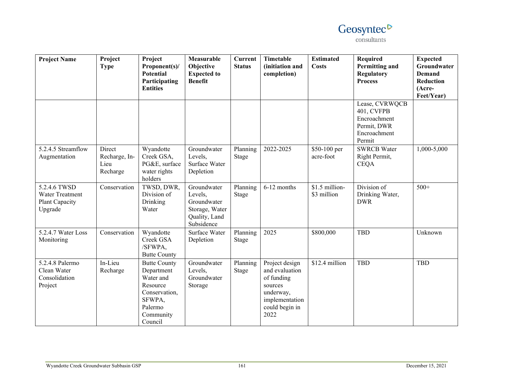# Geosyntec<sup>D</sup> consultants

| <b>Project Name</b>                                          | Project<br><b>Type</b>                      | Project<br>Proponent(s)/<br><b>Potential</b><br>Participating<br><b>Entities</b>                                         | Measurable<br>Objective<br><b>Expected to</b><br><b>Benefit</b>                        | <b>Current</b><br><b>Status</b> | Timetable<br>(initiation and<br>completion)                                                                        | <b>Estimated</b><br><b>Costs</b> | <b>Required</b><br>Permitting and<br><b>Regulatory</b><br><b>Process</b>              | <b>Expected</b><br>Groundwater<br><b>Demand</b><br><b>Reduction</b><br>(Acre-<br>Feet/Year) |
|--------------------------------------------------------------|---------------------------------------------|--------------------------------------------------------------------------------------------------------------------------|----------------------------------------------------------------------------------------|---------------------------------|--------------------------------------------------------------------------------------------------------------------|----------------------------------|---------------------------------------------------------------------------------------|---------------------------------------------------------------------------------------------|
|                                                              |                                             |                                                                                                                          |                                                                                        |                                 |                                                                                                                    |                                  | Lease, CVRWQCB<br>401, CVFPB<br>Encroachment<br>Permit, DWR<br>Encroachment<br>Permit |                                                                                             |
| 5.2.4.5 Streamflow<br>Augmentation                           | Direct<br>Recharge, In-<br>Lieu<br>Recharge | Wyandotte<br>Creek GSA,<br>PG&E, surface<br>water rights<br>holders                                                      | Groundwater<br>Levels,<br>Surface Water<br>Depletion                                   | Planning<br>Stage               | 2022-2025                                                                                                          | \$50-100 per<br>acre-foot        | <b>SWRCB Water</b><br>Right Permit,<br><b>CEQA</b>                                    | 1,000-5,000                                                                                 |
| 5.2.4.6 TWSD<br>Water Treatment<br>Plant Capacity<br>Upgrade | Conservation                                | TWSD, DWR,<br>Division of<br>Drinking<br>Water                                                                           | Groundwater<br>Levels,<br>Groundwater<br>Storage, Water<br>Quality, Land<br>Subsidence | Planning<br>Stage               | 6-12 months                                                                                                        | \$1.5 million-<br>\$3 million    | Division of<br>Drinking Water,<br><b>DWR</b>                                          | $500+$                                                                                      |
| 5.2.4.7 Water Loss<br>Monitoring                             | Conservation                                | Wyandotte<br>Creek GSA<br>/SFWPA,<br><b>Butte County</b>                                                                 | Surface Water<br>Depletion                                                             | Planning<br>Stage               | 2025                                                                                                               | \$800,000                        | <b>TBD</b>                                                                            | Unknown                                                                                     |
| 5.2.4.8 Palermo<br>Clean Water<br>Consolidation<br>Project   | In-Lieu<br>Recharge                         | <b>Butte County</b><br>Department<br>Water and<br>Resource<br>Conservation,<br>SFWPA,<br>Palermo<br>Community<br>Council | Groundwater<br>Levels,<br>Groundwater<br>Storage                                       | Planning<br>Stage               | Project design<br>and evaluation<br>of funding<br>sources<br>underway,<br>implementation<br>could begin in<br>2022 | \$12.4 million                   | <b>TBD</b>                                                                            | <b>TBD</b>                                                                                  |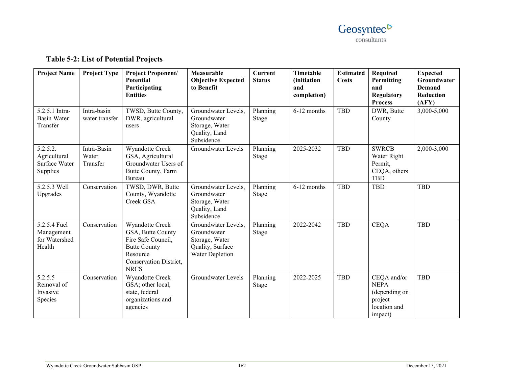

| <b>Project Name</b>                                   | <b>Project Type</b>              | <b>Project Proponent/</b><br><b>Potential</b><br>Participating<br><b>Entities</b>                                                      | Measurable<br><b>Objective Expected</b><br>to Benefit                                       | <b>Current</b><br><b>Status</b> | Timetable<br><i>(initiation)</i><br>and<br>completion) | <b>Estimated</b><br><b>Costs</b> | Required<br>Permitting<br>and<br>Regulatory<br><b>Process</b>                     | <b>Expected</b><br>Groundwater<br>Demand<br>Reduction<br>(AFY) |
|-------------------------------------------------------|----------------------------------|----------------------------------------------------------------------------------------------------------------------------------------|---------------------------------------------------------------------------------------------|---------------------------------|--------------------------------------------------------|----------------------------------|-----------------------------------------------------------------------------------|----------------------------------------------------------------|
| 5.2.5.1 Intra-<br><b>Basin Water</b><br>Transfer      | Intra-basin<br>water transfer    | TWSD, Butte County,<br>DWR, agricultural<br>users                                                                                      | Groundwater Levels,<br>Groundwater<br>Storage, Water<br>Quality, Land<br>Subsidence         | Planning<br>Stage               | 6-12 months                                            | <b>TBD</b>                       | DWR, Butte<br>County                                                              | 3,000-5,000                                                    |
| 5.2.5.2.<br>Agricultural<br>Surface Water<br>Supplies | Intra-Basin<br>Water<br>Transfer | Wyandotte Creek<br>GSA, Agricultural<br>Groundwater Users of<br>Butte County, Farm<br>Bureau                                           | Groundwater Levels                                                                          | Planning<br><b>Stage</b>        | 2025-2032                                              | <b>TBD</b>                       | <b>SWRCB</b><br>Water Right<br>Permit,<br>CEQA, others<br><b>TBD</b>              | 2,000-3,000                                                    |
| 5.2.5.3 Well<br>Upgrades                              | Conservation                     | TWSD, DWR, Butte<br>County, Wyandotte<br>Creek GSA                                                                                     | Groundwater Levels,<br>Groundwater<br>Storage, Water<br>Quality, Land<br>Subsidence         | Planning<br>Stage               | 6-12 months                                            | <b>TBD</b>                       | <b>TBD</b>                                                                        | <b>TBD</b>                                                     |
| 5.2.5.4 Fuel<br>Management<br>for Watershed<br>Health | Conservation                     | Wyandotte Creek<br>GSA, Butte County<br>Fire Safe Council,<br><b>Butte County</b><br>Resource<br>Conservation District,<br><b>NRCS</b> | Groundwater Levels,<br>Groundwater<br>Storage, Water<br>Quality, Surface<br>Water Depletion | Planning<br>Stage               | 2022-2042                                              | <b>TBD</b>                       | <b>CEQA</b>                                                                       | <b>TBD</b>                                                     |
| 5.2.5.5<br>Removal of<br>Invasive<br>Species          | Conservation                     | Wyandotte Creek<br>GSA; other local,<br>state, federal<br>organizations and<br>agencies                                                | Groundwater Levels                                                                          | Planning<br>Stage               | 2022-2025                                              | <b>TBD</b>                       | CEQA and/or<br><b>NEPA</b><br>(depending on<br>project<br>location and<br>impact) | <b>TBD</b>                                                     |

# **Table 5-2: List of Potential Projects**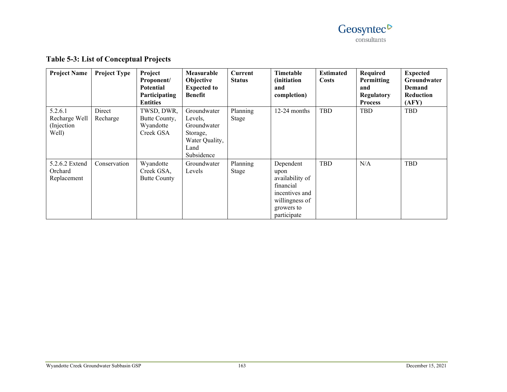

| <b>Project Name</b>                              | <b>Project Type</b> | Project<br>Proponent/<br><b>Potential</b><br>Participating<br><b>Entities</b> | Measurable<br>Objective<br><b>Expected to</b><br><b>Benefit</b>                           | Current<br><b>Status</b> | Timetable<br><i>(initiation)</i><br>and<br>completion)                                                             | <b>Estimated</b><br>Costs | Required<br>Permitting<br>and<br><b>Regulatory</b><br><b>Process</b> | <b>Expected</b><br>Groundwater<br>Demand<br><b>Reduction</b><br>(AFY) |
|--------------------------------------------------|---------------------|-------------------------------------------------------------------------------|-------------------------------------------------------------------------------------------|--------------------------|--------------------------------------------------------------------------------------------------------------------|---------------------------|----------------------------------------------------------------------|-----------------------------------------------------------------------|
| 5.2.6.1<br>Recharge Well<br>(Injection)<br>Well) | Direct<br>Recharge  | TWSD, DWR,<br>Butte County,<br>Wyandotte<br>Creek GSA                         | Groundwater<br>Levels,<br>Groundwater<br>Storage,<br>Water Quality,<br>Land<br>Subsidence | Planning<br>Stage        | $12-24$ months                                                                                                     | TBD                       | TBD                                                                  | TBD                                                                   |
| 5.2.6.2 Extend<br>Orchard<br>Replacement         | Conservation        | Wyandotte<br>Creek GSA,<br><b>Butte County</b>                                | Groundwater<br>Levels                                                                     | Planning<br>Stage        | Dependent<br>upon<br>availability of<br>financial<br>incentives and<br>willingness of<br>growers to<br>participate | <b>TBD</b>                | N/A                                                                  | TBD                                                                   |

# **Table 5-3: List of Conceptual Projects**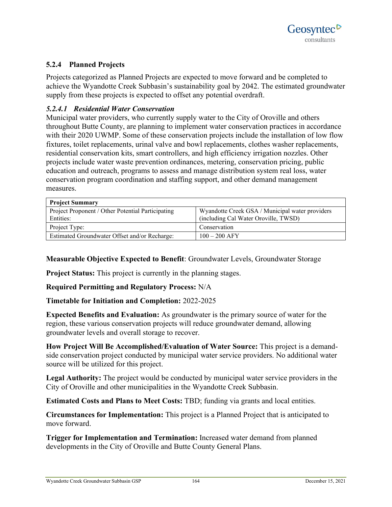# **5.2.4 Planned Projects**

Projects categorized as Planned Projects are expected to move forward and be completed to achieve the Wyandotte Creek Subbasin's sustainability goal by 2042. The estimated groundwater supply from these projects is expected to offset any potential overdraft.

### *5.2.4.1 Residential Water Conservation*

Municipal water providers, who currently supply water to the City of Oroville and others throughout Butte County, are planning to implement water conservation practices in accordance with their 2020 UWMP. Some of these conservation projects include the installation of low flow fixtures, toilet replacements, urinal valve and bowl replacements, clothes washer replacements, residential conservation kits, smart controllers, and high efficiency irrigation nozzles. Other projects include water waste prevention ordinances, metering, conservation pricing, public education and outreach, programs to assess and manage distribution system real loss, water conservation program coordination and staffing support, and other demand management measures.

| <b>Project Summary</b>                                         |                                                                                         |
|----------------------------------------------------------------|-----------------------------------------------------------------------------------------|
| Project Proponent / Other Potential Participating<br>Entities: | Wyandotte Creek GSA / Municipal water providers<br>(including Cal Water Oroville, TWSD) |
| Project Type:                                                  | Conservation                                                                            |
| Estimated Groundwater Offset and/or Recharge:                  | $100 - 200$ AFY                                                                         |

**Measurable Objective Expected to Benefit**: Groundwater Levels, Groundwater Storage

**Project Status:** This project is currently in the planning stages.

#### **Required Permitting and Regulatory Process:** N/A

**Timetable for Initiation and Completion:** 2022-2025

**Expected Benefits and Evaluation:** As groundwater is the primary source of water for the region, these various conservation projects will reduce groundwater demand, allowing groundwater levels and overall storage to recover.

**How Project Will Be Accomplished/Evaluation of Water Source:** This project is a demandside conservation project conducted by municipal water service providers. No additional water source will be utilized for this project.

**Legal Authority:** The project would be conducted by municipal water service providers in the City of Oroville and other municipalities in the Wyandotte Creek Subbasin.

**Estimated Costs and Plans to Meet Costs:** TBD; funding via grants and local entities.

**Circumstances for Implementation:** This project is a Planned Project that is anticipated to move forward.

**Trigger for Implementation and Termination:** Increased water demand from planned developments in the City of Oroville and Butte County General Plans.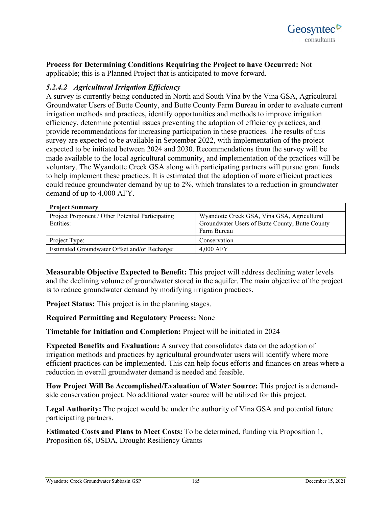

**Process for Determining Conditions Requiring the Project to have Occurred:** Not applicable; this is a Planned Project that is anticipated to move forward.

# *5.2.4.2 Agricultural Irrigation Efficiency*

A survey is currently being conducted in North and South Vina by the Vina GSA, Agricultural Groundwater Users of Butte County, and Butte County Farm Bureau in order to evaluate current irrigation methods and practices, identify opportunities and methods to improve irrigation efficiency, determine potential issues preventing the adoption of efficiency practices, and provide recommendations for increasing participation in these practices. The results of this survey are expected to be available in September 2022, with implementation of the project expected to be initiated between 2024 and 2030. Recommendations from the survey will be made available to the local agricultural community, and implementation of the practices will be voluntary. The Wyandotte Creek GSA along with participating partners will pursue grant funds to help implement these practices. It is estimated that the adoption of more efficient practices could reduce groundwater demand by up to 2%, which translates to a reduction in groundwater demand of up to 4,000 AFY.

| <b>Project Summary</b>                                         |                                                                                                               |
|----------------------------------------------------------------|---------------------------------------------------------------------------------------------------------------|
| Project Proponent / Other Potential Participating<br>Entities: | Wyandotte Creek GSA, Vina GSA, Agricultural<br>Groundwater Users of Butte County, Butte County<br>Farm Bureau |
| Project Type:                                                  | Conservation                                                                                                  |
| Estimated Groundwater Offset and/or Recharge:                  | $4.000$ AFY                                                                                                   |

**Measurable Objective Expected to Benefit:** This project will address declining water levels and the declining volume of groundwater stored in the aquifer. The main objective of the project is to reduce groundwater demand by modifying irrigation practices.

**Project Status:** This project is in the planning stages.

**Required Permitting and Regulatory Process:** None

**Timetable for Initiation and Completion:** Project will be initiated in 2024

**Expected Benefits and Evaluation:** A survey that consolidates data on the adoption of irrigation methods and practices by agricultural groundwater users will identify where more efficient practices can be implemented. This can help focus efforts and finances on areas where a reduction in overall groundwater demand is needed and feasible.

**How Project Will Be Accomplished/Evaluation of Water Source:** This project is a demandside conservation project. No additional water source will be utilized for this project.

**Legal Authority:** The project would be under the authority of Vina GSA and potential future participating partners.

**Estimated Costs and Plans to Meet Costs:** To be determined, funding via Proposition 1, Proposition 68, USDA, Drought Resiliency Grants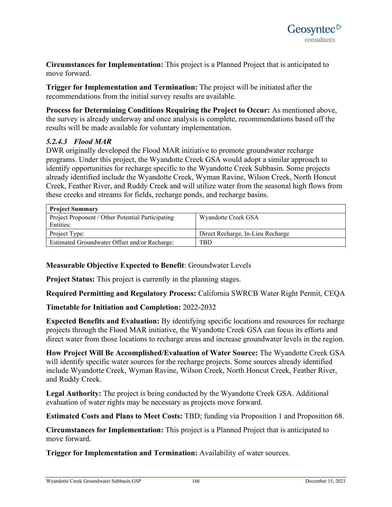**Circumstances for Implementation:** This project is a Planned Project that is anticipated to move forward.

**Trigger for Implementation and Termination:** The project will be initiated after the recommendations from the initial survey results are available.

**Process for Determining Conditions Requiring the Project to Occur:** As mentioned above, the survey is already underway and once analysis is complete, recommendations based off the results will be made available for voluntary implementation.

# *5.2.4.3 Flood MAR*

DWR originally developed the Flood MAR initiative to promote groundwater recharge programs. Under this project, the Wyandotte Creek GSA would adopt a similar approach to identify opportunities for recharge specific to the Wyandotte Creek Subbasin. Some projects already identified include the Wyandotte Creek, Wyman Ravine, Wilson Creek, North Honcut Creek, Feather River, and Ruddy Creek and will utilize water from the seasonal high flows from these creeks and streams for fields, recharge ponds, and recharge basins.

| <b>Project Summary</b>                                         |                                   |
|----------------------------------------------------------------|-----------------------------------|
| Project Proponent / Other Potential Participating<br>Entities: | Wyandotte Creek GSA               |
| Project Type:                                                  | Direct Recharge, In-Lieu Recharge |
| Estimated Groundwater Offset and/or Recharge:                  | TBD                               |

# **Measurable Objective Expected to Benefit**: Groundwater Levels

**Project Status:** This project is currently in the planning stages.

**Required Permitting and Regulatory Process:** California SWRCB Water Right Permit, CEQA

# **Timetable for Initiation and Completion:** 2022-2032

**Expected Benefits and Evaluation:** By identifying specific locations and resources for recharge projects through the Flood MAR initiative, the Wyandotte Creek GSA can focus its efforts and direct water from those locations to recharge areas and increase groundwater levels in the region.

**How Project Will Be Accomplished/Evaluation of Water Source:** The Wyandotte Creek GSA will identify specific water sources for the recharge projects. Some sources already identified include Wyandotte Creek, Wyman Ravine, Wilson Creek, North Honcut Creek, Feather River, and Ruddy Creek.

**Legal Authority:** The project is being conducted by the Wyandotte Creek GSA. Additional evaluation of water rights may be necessary as projects move forward.

**Estimated Costs and Plans to Meet Costs:** TBD; funding via Proposition 1 and Proposition 68.

**Circumstances for Implementation:** This project is a Planned Project that is anticipated to move forward.

**Trigger for Implementation and Termination:** Availability of water sources.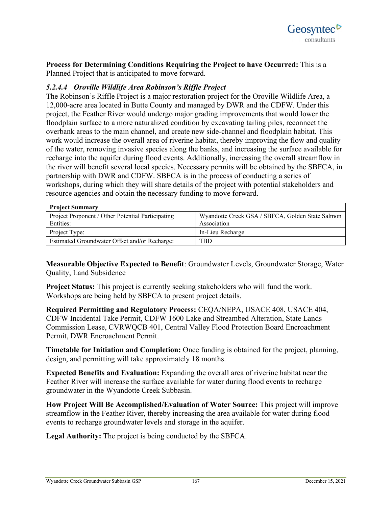

**Process for Determining Conditions Requiring the Project to have Occurred:** This is a Planned Project that is anticipated to move forward.

### *5.2.4.4 Oroville Wildlife Area Robinson's Riffle Project*

The Robinson's Riffle Project is a major restoration project for the Oroville Wildlife Area, a 12,000-acre area located in Butte County and managed by DWR and the CDFW. Under this project, the Feather River would undergo major grading improvements that would lower the floodplain surface to a more naturalized condition by excavating tailing piles, reconnect the overbank areas to the main channel, and create new side-channel and floodplain habitat. This work would increase the overall area of riverine habitat, thereby improving the flow and quality of the water, removing invasive species along the banks, and increasing the surface available for recharge into the aquifer during flood events. Additionally, increasing the overall streamflow in the river will benefit several local species. Necessary permits will be obtained by the SBFCA, in partnership with DWR and CDFW. SBFCA is in the process of conducting a series of workshops, during which they will share details of the project with potential stakeholders and resource agencies and obtain the necessary funding to move forward.

| <b>Project Summary</b>                            |                                                  |
|---------------------------------------------------|--------------------------------------------------|
| Project Proponent / Other Potential Participating | Wyandotte Creek GSA / SBFCA, Golden State Salmon |
| Entities:                                         | Association                                      |
| Project Type:                                     | In-Lieu Recharge                                 |
| Estimated Groundwater Offset and/or Recharge:     | TBD                                              |

**Measurable Objective Expected to Benefit**: Groundwater Levels, Groundwater Storage, Water Quality, Land Subsidence

**Project Status:** This project is currently seeking stakeholders who will fund the work. Workshops are being held by SBFCA to present project details.

**Required Permitting and Regulatory Process:** CEQA/NEPA, USACE 408, USACE 404, CDFW Incidental Take Permit, CDFW 1600 Lake and Streambed Alteration, State Lands Commission Lease, CVRWQCB 401, Central Valley Flood Protection Board Encroachment Permit, DWR Encroachment Permit.

**Timetable for Initiation and Completion:** Once funding is obtained for the project, planning, design, and permitting will take approximately 18 months.

**Expected Benefits and Evaluation:** Expanding the overall area of riverine habitat near the Feather River will increase the surface available for water during flood events to recharge groundwater in the Wyandotte Creek Subbasin.

**How Project Will Be Accomplished/Evaluation of Water Source:** This project will improve streamflow in the Feather River, thereby increasing the area available for water during flood events to recharge groundwater levels and storage in the aquifer.

**Legal Authority:** The project is being conducted by the SBFCA.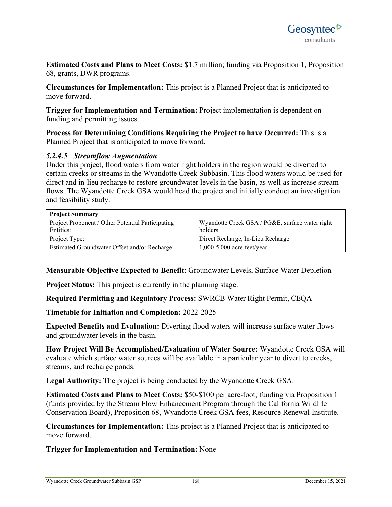

**Estimated Costs and Plans to Meet Costs:** \$1.7 million; funding via Proposition 1, Proposition 68, grants, DWR programs.

**Circumstances for Implementation:** This project is a Planned Project that is anticipated to move forward.

**Trigger for Implementation and Termination:** Project implementation is dependent on funding and permitting issues.

**Process for Determining Conditions Requiring the Project to have Occurred:** This is a Planned Project that is anticipated to move forward.

#### *5.2.4.5 Streamflow Augmentation*

Under this project, flood waters from water right holders in the region would be diverted to certain creeks or streams in the Wyandotte Creek Subbasin. This flood waters would be used for direct and in-lieu recharge to restore groundwater levels in the basin, as well as increase stream flows. The Wyandotte Creek GSA would head the project and initially conduct an investigation and feasibility study.

| <b>Project Summary</b>                            |                                                 |
|---------------------------------------------------|-------------------------------------------------|
| Project Proponent / Other Potential Participating | Wyandotte Creek GSA / PG&E, surface water right |
| Entities:                                         | holders                                         |
| Project Type:                                     | Direct Recharge, In-Lieu Recharge               |
| Estimated Groundwater Offset and/or Recharge:     | $1,000-5,000$ acre-feet/year                    |

**Measurable Objective Expected to Benefit**: Groundwater Levels, Surface Water Depletion

**Project Status:** This project is currently in the planning stage.

**Required Permitting and Regulatory Process:** SWRCB Water Right Permit, CEQA

**Timetable for Initiation and Completion:** 2022-2025

**Expected Benefits and Evaluation:** Diverting flood waters will increase surface water flows and groundwater levels in the basin.

**How Project Will Be Accomplished/Evaluation of Water Source:** Wyandotte Creek GSA will evaluate which surface water sources will be available in a particular year to divert to creeks, streams, and recharge ponds.

**Legal Authority:** The project is being conducted by the Wyandotte Creek GSA.

**Estimated Costs and Plans to Meet Costs:** \$50-\$100 per acre-foot; funding via Proposition 1 (funds provided by the Stream Flow Enhancement Program through the California Wildlife Conservation Board), Proposition 68, Wyandotte Creek GSA fees, Resource Renewal Institute.

**Circumstances for Implementation:** This project is a Planned Project that is anticipated to move forward.

**Trigger for Implementation and Termination:** None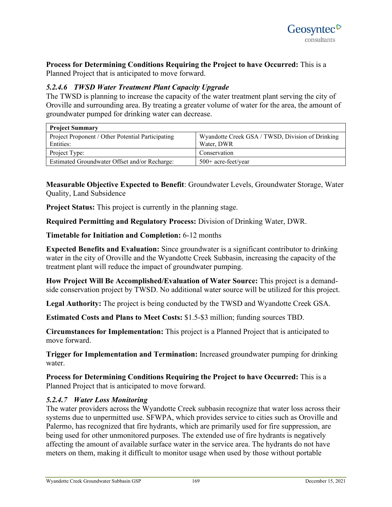**Process for Determining Conditions Requiring the Project to have Occurred:** This is a Planned Project that is anticipated to move forward.

# *5.2.4.6 TWSD Water Treatment Plant Capacity Upgrade*

The TWSD is planning to increase the capacity of the water treatment plant serving the city of Oroville and surrounding area. By treating a greater volume of water for the area, the amount of groundwater pumped for drinking water can decrease.

| <b>Project Summary</b>                            |                                                  |
|---------------------------------------------------|--------------------------------------------------|
| Project Proponent / Other Potential Participating | Wyandotte Creek GSA / TWSD, Division of Drinking |
| Entities:                                         | Water, DWR                                       |
| Project Type:                                     | Conservation                                     |
| Estimated Groundwater Offset and/or Recharge:     | 500+ acre-feet/year                              |

**Measurable Objective Expected to Benefit**: Groundwater Levels, Groundwater Storage, Water Quality, Land Subsidence

**Project Status:** This project is currently in the planning stage.

**Required Permitting and Regulatory Process:** Division of Drinking Water, DWR.

**Timetable for Initiation and Completion:** 6-12 months

**Expected Benefits and Evaluation:** Since groundwater is a significant contributor to drinking water in the city of Oroville and the Wyandotte Creek Subbasin, increasing the capacity of the treatment plant will reduce the impact of groundwater pumping.

**How Project Will Be Accomplished/Evaluation of Water Source:** This project is a demandside conservation project by TWSD. No additional water source will be utilized for this project.

**Legal Authority:** The project is being conducted by the TWSD and Wyandotte Creek GSA.

**Estimated Costs and Plans to Meet Costs:** \$1.5-\$3 million; funding sources TBD.

**Circumstances for Implementation:** This project is a Planned Project that is anticipated to move forward.

**Trigger for Implementation and Termination:** Increased groundwater pumping for drinking water.

**Process for Determining Conditions Requiring the Project to have Occurred:** This is a Planned Project that is anticipated to move forward.

#### *5.2.4.7 Water Loss Monitoring*

The water providers across the Wyandotte Creek subbasin recognize that water loss across their systems due to unpermitted use. SFWPA, which provides service to cities such as Oroville and Palermo, has recognized that fire hydrants, which are primarily used for fire suppression, are being used for other unmonitored purposes. The extended use of fire hydrants is negatively affecting the amount of available surface water in the service area. The hydrants do not have meters on them, making it difficult to monitor usage when used by those without portable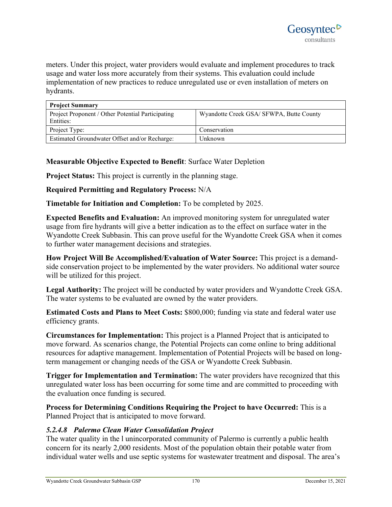meters. Under this project, water providers would evaluate and implement procedures to track usage and water loss more accurately from their systems. This evaluation could include implementation of new practices to reduce unregulated use or even installation of meters on hydrants.

| <b>Project Summary</b>                            |                                          |
|---------------------------------------------------|------------------------------------------|
| Project Proponent / Other Potential Participating | Wyandotte Creek GSA/ SFWPA, Butte County |
| Entities:                                         |                                          |
| Project Type:                                     | Conservation                             |
| Estimated Groundwater Offset and/or Recharge:     | <b>Unknown</b>                           |

# **Measurable Objective Expected to Benefit**: Surface Water Depletion

**Project Status:** This project is currently in the planning stage.

### **Required Permitting and Regulatory Process:** N/A

**Timetable for Initiation and Completion:** To be completed by 2025.

**Expected Benefits and Evaluation:** An improved monitoring system for unregulated water usage from fire hydrants will give a better indication as to the effect on surface water in the Wyandotte Creek Subbasin. This can prove useful for the Wyandotte Creek GSA when it comes to further water management decisions and strategies.

**How Project Will Be Accomplished/Evaluation of Water Source:** This project is a demandside conservation project to be implemented by the water providers. No additional water source will be utilized for this project.

**Legal Authority:** The project will be conducted by water providers and Wyandotte Creek GSA. The water systems to be evaluated are owned by the water providers.

**Estimated Costs and Plans to Meet Costs:** \$800,000; funding via state and federal water use efficiency grants.

**Circumstances for Implementation:** This project is a Planned Project that is anticipated to move forward. As scenarios change, the Potential Projects can come online to bring additional resources for adaptive management. Implementation of Potential Projects will be based on longterm management or changing needs of the GSA or Wyandotte Creek Subbasin.

**Trigger for Implementation and Termination:** The water providers have recognized that this unregulated water loss has been occurring for some time and are committed to proceeding with the evaluation once funding is secured.

**Process for Determining Conditions Requiring the Project to have Occurred:** This is a Planned Project that is anticipated to move forward.

# *5.2.4.8 Palermo Clean Water Consolidation Project*

The water quality in the l unincorporated community of Palermo is currently a public health concern for its nearly 2,000 residents. Most of the population obtain their potable water from individual water wells and use septic systems for wastewater treatment and disposal. The area's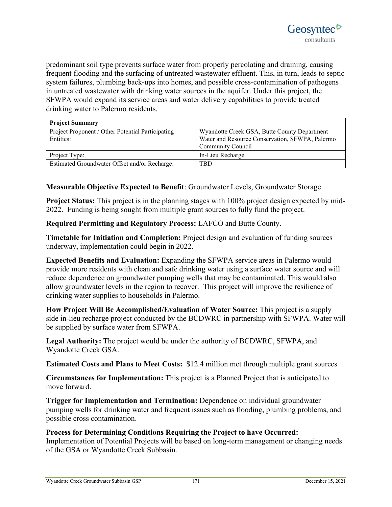predominant soil type prevents surface water from properly percolating and draining, causing frequent flooding and the surfacing of untreated wastewater effluent. This, in turn, leads to septic system failures, plumbing back-ups into homes, and possible cross-contamination of pathogens in untreated wastewater with drinking water sources in the aquifer. Under this project, the SFWPA would expand its service areas and water delivery capabilities to provide treated drinking water to Palermo residents.

| <b>Project Summary</b>                                         |                                                                                                                             |
|----------------------------------------------------------------|-----------------------------------------------------------------------------------------------------------------------------|
| Project Proponent / Other Potential Participating<br>Entities: | Wyandotte Creek GSA, Butte County Department<br>Water and Resource Conservation, SFWPA, Palermo<br><b>Community Council</b> |
| Project Type:                                                  | In-Lieu Recharge                                                                                                            |
| Estimated Groundwater Offset and/or Recharge:                  | TBD                                                                                                                         |

# **Measurable Objective Expected to Benefit**: Groundwater Levels, Groundwater Storage

**Project Status:** This project is in the planning stages with 100% project design expected by mid-2022. Funding is being sought from multiple grant sources to fully fund the project.

**Required Permitting and Regulatory Process:** LAFCO and Butte County.

**Timetable for Initiation and Completion:** Project design and evaluation of funding sources underway, implementation could begin in 2022.

**Expected Benefits and Evaluation:** Expanding the SFWPA service areas in Palermo would provide more residents with clean and safe drinking water using a surface water source and will reduce dependence on groundwater pumping wells that may be contaminated. This would also allow groundwater levels in the region to recover. This project will improve the resilience of drinking water supplies to households in Palermo.

**How Project Will Be Accomplished/Evaluation of Water Source:** This project is a supply side in-lieu recharge project conducted by the BCDWRC in partnership with SFWPA. Water will be supplied by surface water from SFWPA.

**Legal Authority:** The project would be under the authority of BCDWRC, SFWPA, and Wyandotte Creek GSA.

**Estimated Costs and Plans to Meet Costs:** \$12.4 million met through multiple grant sources

**Circumstances for Implementation:** This project is a Planned Project that is anticipated to move forward.

**Trigger for Implementation and Termination:** Dependence on individual groundwater pumping wells for drinking water and frequent issues such as flooding, plumbing problems, and possible cross contamination.

#### **Process for Determining Conditions Requiring the Project to have Occurred:**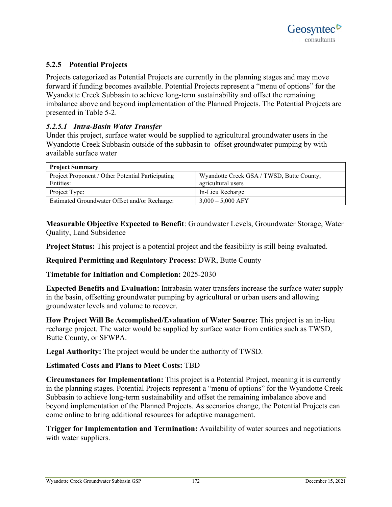# **5.2.5 Potential Projects**

Projects categorized as Potential Projects are currently in the planning stages and may move forward if funding becomes available. Potential Projects represent a "menu of options" for the Wyandotte Creek Subbasin to achieve long-term sustainability and offset the remaining imbalance above and beyond implementation of the Planned Projects. The Potential Projects are presented in Table 5-2.

### *5.2.5.1 Intra-Basin Water Transfer*

Under this project, surface water would be supplied to agricultural groundwater users in the Wyandotte Creek Subbasin outside of the subbasin to offset groundwater pumping by with available surface water

| <b>Project Summary</b>                            |                                           |
|---------------------------------------------------|-------------------------------------------|
| Project Proponent / Other Potential Participating | Wyandotte Creek GSA / TWSD, Butte County, |
| Entities:                                         | agricultural users                        |
| Project Type:                                     | In-Lieu Recharge                          |
| Estimated Groundwater Offset and/or Recharge:     | $3,000 - 5,000$ AFY                       |

**Measurable Objective Expected to Benefit**: Groundwater Levels, Groundwater Storage, Water Quality, Land Subsidence

**Project Status:** This project is a potential project and the feasibility is still being evaluated.

**Required Permitting and Regulatory Process:** DWR, Butte County

**Timetable for Initiation and Completion:** 2025-2030

**Expected Benefits and Evaluation:** Intrabasin water transfers increase the surface water supply in the basin, offsetting groundwater pumping by agricultural or urban users and allowing groundwater levels and volume to recover.

**How Project Will Be Accomplished/Evaluation of Water Source:** This project is an in-lieu recharge project. The water would be supplied by surface water from entities such as TWSD, Butte County, or SFWPA.

**Legal Authority:** The project would be under the authority of TWSD.

#### **Estimated Costs and Plans to Meet Costs:** TBD

**Circumstances for Implementation:** This project is a Potential Project, meaning it is currently in the planning stages. Potential Projects represent a "menu of options" for the Wyandotte Creek Subbasin to achieve long-term sustainability and offset the remaining imbalance above and beyond implementation of the Planned Projects. As scenarios change, the Potential Projects can come online to bring additional resources for adaptive management.

**Trigger for Implementation and Termination:** Availability of water sources and negotiations with water suppliers.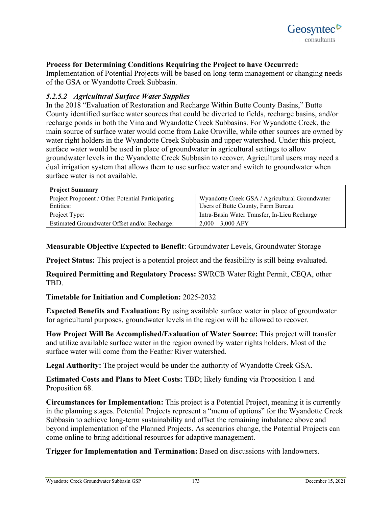

### **Process for Determining Conditions Requiring the Project to have Occurred:**

Implementation of Potential Projects will be based on long-term management or changing needs of the GSA or Wyandotte Creek Subbasin.

#### *5.2.5.2 Agricultural Surface Water Supplies*

In the 2018 "Evaluation of Restoration and Recharge Within Butte County Basins," Butte County identified surface water sources that could be diverted to fields, recharge basins, and/or recharge ponds in both the Vina and Wyandotte Creek Subbasins. For Wyandotte Creek, the main source of surface water would come from Lake Oroville, while other sources are owned by water right holders in the Wyandotte Creek Subbasin and upper watershed. Under this project, surface water would be used in place of groundwater in agricultural settings to allow groundwater levels in the Wyandotte Creek Subbasin to recover. Agricultural users may need a dual irrigation system that allows them to use surface water and switch to groundwater when surface water is not available.

| <b>Project Summary</b>                            |                                                |
|---------------------------------------------------|------------------------------------------------|
| Project Proponent / Other Potential Participating | Wyandotte Creek GSA / Agricultural Groundwater |
| Entities:                                         | Users of Butte County, Farm Bureau             |
| Project Type:                                     | Intra-Basin Water Transfer, In-Lieu Recharge   |
| Estimated Groundwater Offset and/or Recharge:     | $2,000 - 3,000$ AFY                            |

**Measurable Objective Expected to Benefit**: Groundwater Levels, Groundwater Storage

**Project Status:** This project is a potential project and the feasibility is still being evaluated.

**Required Permitting and Regulatory Process:** SWRCB Water Right Permit, CEQA, other TBD.

#### **Timetable for Initiation and Completion:** 2025-2032

**Expected Benefits and Evaluation:** By using available surface water in place of groundwater for agricultural purposes, groundwater levels in the region will be allowed to recover.

**How Project Will Be Accomplished/Evaluation of Water Source:** This project will transfer and utilize available surface water in the region owned by water rights holders. Most of the surface water will come from the Feather River watershed.

**Legal Authority:** The project would be under the authority of Wyandotte Creek GSA.

**Estimated Costs and Plans to Meet Costs:** TBD; likely funding via Proposition 1 and Proposition 68.

**Circumstances for Implementation:** This project is a Potential Project, meaning it is currently in the planning stages. Potential Projects represent a "menu of options" for the Wyandotte Creek Subbasin to achieve long-term sustainability and offset the remaining imbalance above and beyond implementation of the Planned Projects. As scenarios change, the Potential Projects can come online to bring additional resources for adaptive management.

**Trigger for Implementation and Termination:** Based on discussions with landowners.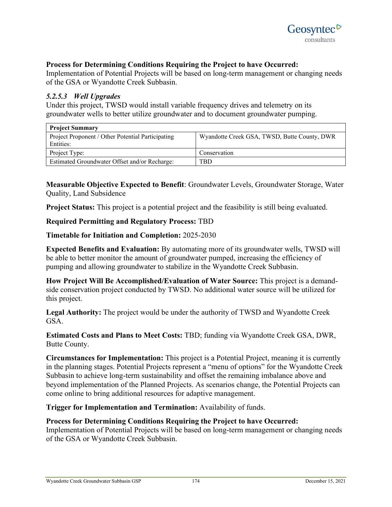### **Process for Determining Conditions Requiring the Project to have Occurred:**

Implementation of Potential Projects will be based on long-term management or changing needs of the GSA or Wyandotte Creek Subbasin.

#### *5.2.5.3 Well Upgrades*

Under this project, TWSD would install variable frequency drives and telemetry on its groundwater wells to better utilize groundwater and to document groundwater pumping.

| <b>Project Summary</b>                            |                                              |
|---------------------------------------------------|----------------------------------------------|
| Project Proponent / Other Potential Participating | Wyandotte Creek GSA, TWSD, Butte County, DWR |
| Entities:                                         |                                              |
| Project Type:                                     | Conservation                                 |
| Estimated Groundwater Offset and/or Recharge:     | TBD                                          |

**Measurable Objective Expected to Benefit**: Groundwater Levels, Groundwater Storage, Water Quality, Land Subsidence

**Project Status:** This project is a potential project and the feasibility is still being evaluated.

### **Required Permitting and Regulatory Process:** TBD

#### **Timetable for Initiation and Completion:** 2025-2030

**Expected Benefits and Evaluation:** By automating more of its groundwater wells, TWSD will be able to better monitor the amount of groundwater pumped, increasing the efficiency of pumping and allowing groundwater to stabilize in the Wyandotte Creek Subbasin.

**How Project Will Be Accomplished/Evaluation of Water Source:** This project is a demandside conservation project conducted by TWSD. No additional water source will be utilized for this project.

**Legal Authority:** The project would be under the authority of TWSD and Wyandotte Creek GSA.

**Estimated Costs and Plans to Meet Costs:** TBD; funding via Wyandotte Creek GSA, DWR, Butte County.

**Circumstances for Implementation:** This project is a Potential Project, meaning it is currently in the planning stages. Potential Projects represent a "menu of options" for the Wyandotte Creek Subbasin to achieve long-term sustainability and offset the remaining imbalance above and beyond implementation of the Planned Projects. As scenarios change, the Potential Projects can come online to bring additional resources for adaptive management.

**Trigger for Implementation and Termination:** Availability of funds.

#### **Process for Determining Conditions Requiring the Project to have Occurred:**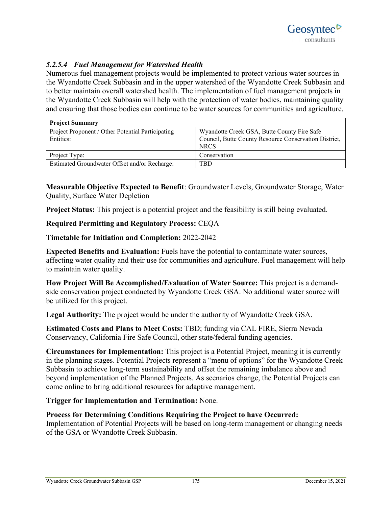# *5.2.5.4 Fuel Management for Watershed Health*

Numerous fuel management projects would be implemented to protect various water sources in the Wyandotte Creek Subbasin and in the upper watershed of the Wyandotte Creek Subbasin and to better maintain overall watershed health. The implementation of fuel management projects in the Wyandotte Creek Subbasin will help with the protection of water bodies, maintaining quality and ensuring that those bodies can continue to be water sources for communities and agriculture.

| <b>Project Summary</b>                                         |                                                                                                                     |
|----------------------------------------------------------------|---------------------------------------------------------------------------------------------------------------------|
| Project Proponent / Other Potential Participating<br>Entities: | Wyandotte Creek GSA, Butte County Fire Safe<br>Council, Butte County Resource Conservation District,<br><b>NRCS</b> |
| Project Type:                                                  | Conservation                                                                                                        |
| Estimated Groundwater Offset and/or Recharge:                  | TBD                                                                                                                 |

**Measurable Objective Expected to Benefit**: Groundwater Levels, Groundwater Storage, Water Quality, Surface Water Depletion

**Project Status:** This project is a potential project and the feasibility is still being evaluated.

### **Required Permitting and Regulatory Process:** CEQA

### **Timetable for Initiation and Completion:** 2022-2042

**Expected Benefits and Evaluation:** Fuels have the potential to contaminate water sources, affecting water quality and their use for communities and agriculture. Fuel management will help to maintain water quality.

**How Project Will Be Accomplished/Evaluation of Water Source:** This project is a demandside conservation project conducted by Wyandotte Creek GSA. No additional water source will be utilized for this project.

**Legal Authority:** The project would be under the authority of Wyandotte Creek GSA.

**Estimated Costs and Plans to Meet Costs:** TBD; funding via CAL FIRE, Sierra Nevada Conservancy, California Fire Safe Council, other state/federal funding agencies.

**Circumstances for Implementation:** This project is a Potential Project, meaning it is currently in the planning stages. Potential Projects represent a "menu of options" for the Wyandotte Creek Subbasin to achieve long-term sustainability and offset the remaining imbalance above and beyond implementation of the Planned Projects. As scenarios change, the Potential Projects can come online to bring additional resources for adaptive management.

**Trigger for Implementation and Termination:** None.

#### **Process for Determining Conditions Requiring the Project to have Occurred:**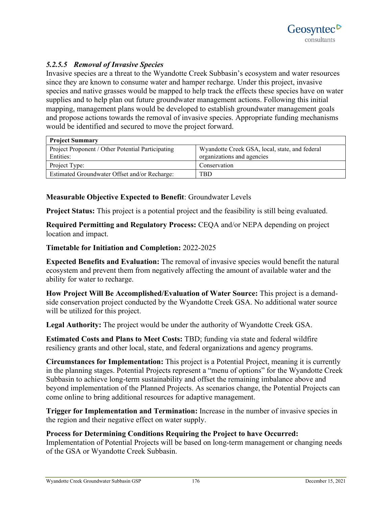# *5.2.5.5 Removal of Invasive Species*

Invasive species are a threat to the Wyandotte Creek Subbasin's ecosystem and water resources since they are known to consume water and hamper recharge. Under this project, invasive species and native grasses would be mapped to help track the effects these species have on water supplies and to help plan out future groundwater management actions. Following this initial mapping, management plans would be developed to establish groundwater management goals and propose actions towards the removal of invasive species. Appropriate funding mechanisms would be identified and secured to move the project forward.

| <b>Project Summary</b>                            |                                                |
|---------------------------------------------------|------------------------------------------------|
| Project Proponent / Other Potential Participating | Wyandotte Creek GSA, local, state, and federal |
| Entities:                                         | organizations and agencies                     |
| Project Type:                                     | Conservation                                   |
| Estimated Groundwater Offset and/or Recharge:     | TBD                                            |

# **Measurable Objective Expected to Benefit**: Groundwater Levels

**Project Status:** This project is a potential project and the feasibility is still being evaluated.

**Required Permitting and Regulatory Process:** CEQA and/or NEPA depending on project location and impact.

### **Timetable for Initiation and Completion:** 2022-2025

**Expected Benefits and Evaluation:** The removal of invasive species would benefit the natural ecosystem and prevent them from negatively affecting the amount of available water and the ability for water to recharge.

**How Project Will Be Accomplished/Evaluation of Water Source:** This project is a demandside conservation project conducted by the Wyandotte Creek GSA. No additional water source will be utilized for this project.

**Legal Authority:** The project would be under the authority of Wyandotte Creek GSA.

**Estimated Costs and Plans to Meet Costs:** TBD; funding via state and federal wildfire resiliency grants and other local, state, and federal organizations and agency programs.

**Circumstances for Implementation:** This project is a Potential Project, meaning it is currently in the planning stages. Potential Projects represent a "menu of options" for the Wyandotte Creek Subbasin to achieve long-term sustainability and offset the remaining imbalance above and beyond implementation of the Planned Projects. As scenarios change, the Potential Projects can come online to bring additional resources for adaptive management.

**Trigger for Implementation and Termination:** Increase in the number of invasive species in the region and their negative effect on water supply.

**Process for Determining Conditions Requiring the Project to have Occurred:**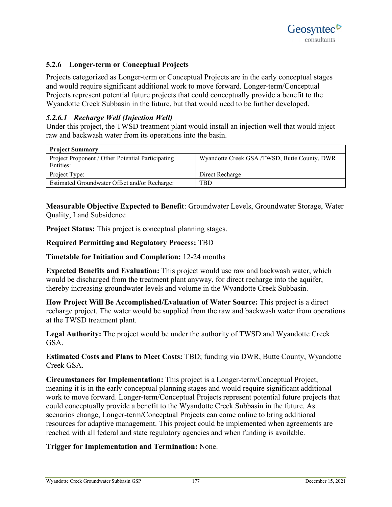# **5.2.6 Longer-term or Conceptual Projects**

Projects categorized as Longer-term or Conceptual Projects are in the early conceptual stages and would require significant additional work to move forward. Longer-term/Conceptual Projects represent potential future projects that could conceptually provide a benefit to the Wyandotte Creek Subbasin in the future, but that would need to be further developed.

# *5.2.6.1 Recharge Well (Injection Well)*

Under this project, the TWSD treatment plant would install an injection well that would inject raw and backwash water from its operations into the basin.

| <b>Project Summary</b>                            |                                              |
|---------------------------------------------------|----------------------------------------------|
| Project Proponent / Other Potential Participating | Wyandotte Creek GSA /TWSD, Butte County, DWR |
| Entities:                                         |                                              |
| Project Type:                                     | Direct Recharge                              |
| Estimated Groundwater Offset and/or Recharge:     | TBD                                          |

**Measurable Objective Expected to Benefit**: Groundwater Levels, Groundwater Storage, Water Quality, Land Subsidence

**Project Status:** This project is conceptual planning stages.

### **Required Permitting and Regulatory Process:** TBD

**Timetable for Initiation and Completion:** 12-24 months

**Expected Benefits and Evaluation:** This project would use raw and backwash water, which would be discharged from the treatment plant anyway, for direct recharge into the aquifer, thereby increasing groundwater levels and volume in the Wyandotte Creek Subbasin.

**How Project Will Be Accomplished/Evaluation of Water Source:** This project is a direct recharge project. The water would be supplied from the raw and backwash water from operations at the TWSD treatment plant.

**Legal Authority:** The project would be under the authority of TWSD and Wyandotte Creek GSA.

**Estimated Costs and Plans to Meet Costs:** TBD; funding via DWR, Butte County, Wyandotte Creek GSA.

**Circumstances for Implementation:** This project is a Longer-term/Conceptual Project, meaning it is in the early conceptual planning stages and would require significant additional work to move forward. Longer-term/Conceptual Projects represent potential future projects that could conceptually provide a benefit to the Wyandotte Creek Subbasin in the future. As scenarios change, Longer-term/Conceptual Projects can come online to bring additional resources for adaptive management. This project could be implemented when agreements are reached with all federal and state regulatory agencies and when funding is available.

# **Trigger for Implementation and Termination:** None.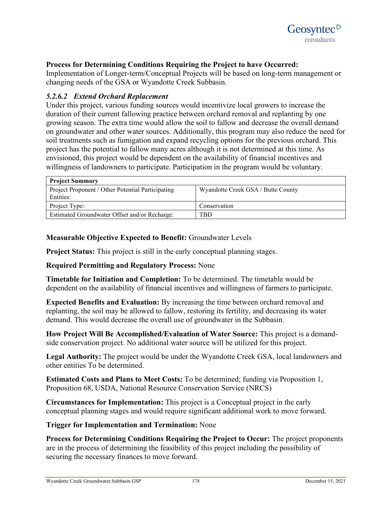

### **Process for Determining Conditions Requiring the Project to have Occurred:**

Implementation of Longer-term/Conceptual Projects will be based on long-term management or changing needs of the GSA or Wyandotte Creek Subbasin.

### *5.2.6.2 Extend Orchard Replacement*

Under this project, various funding sources would incentivize local growers to increase the duration of their current fallowing practice between orchard removal and replanting by one growing season. The extra time would allow the soil to fallow and decrease the overall demand on groundwater and other water sources. Additionally, this program may also reduce the need for soil treatments such as fumigation and expand recycling options for the previous orchard. This project has the potential to fallow many acres although it is not determined at this time. As envisioned, this project would be dependent on the availability of financial incentives and willingness of landowners to participate. Participation in the program would be voluntary.

| <b>Project Summary</b>                                         |                                    |  |
|----------------------------------------------------------------|------------------------------------|--|
| Project Proponent / Other Potential Participating<br>Entities: | Wyandotte Creek GSA / Butte County |  |
| Project Type:                                                  | Conservation                       |  |
| Estimated Groundwater Offset and/or Recharge:                  | TBD                                |  |

### **Measurable Objective Expected to Benefit:** Groundwater Levels

**Project Status:** This project is still in the early conceptual planning stages.

#### **Required Permitting and Regulatory Process:** None

**Timetable for Initiation and Completion:** To be determined. The timetable would be dependent on the availability of financial incentives and willingness of farmers to participate.

**Expected Benefits and Evaluation:** By increasing the time between orchard removal and replanting, the soil may be allowed to fallow, restoring its fertility, and decreasing its water demand. This would decrease the overall use of groundwater in the Subbasin.

**How Project Will Be Accomplished/Evaluation of Water Source:** This project is a demandside conservation project. No additional water source will be utilized for this project.

**Legal Authority:** The project would be under the Wyandotte Creek GSA, local landowners and other entities To be determined.

**Estimated Costs and Plans to Meet Costs:** To be determined; funding via Proposition 1, Proposition 68, USDA, National Resource Conservation Service (NRCS)

**Circumstances for Implementation:** This project is a Conceptual project in the early conceptual planning stages and would require significant additional work to move forward.

#### **Trigger for Implementation and Termination:** None

**Process for Determining Conditions Requiring the Project to Occur:** The project proponents are in the process of determining the feasibility of this project including the possibility of securing the necessary finances to move forward.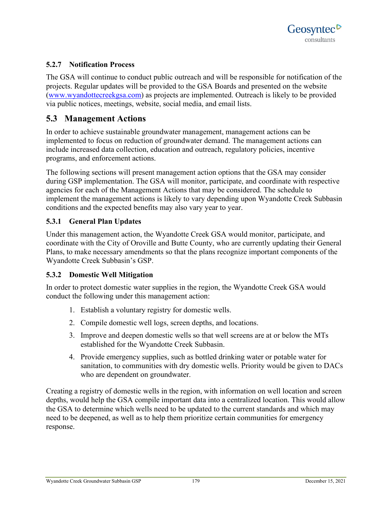# **5.2.7 Notification Process**

The GSA will continue to conduct public outreach and will be responsible for notification of the projects. Regular updates will be provided to the GSA Boards and presented on the website [\(www.wyandottecreekgsa.com\)](http://www.wyandottecreekgsa.com/) as projects are implemented. Outreach is likely to be provided via public notices, meetings, website, social media, and email lists.

# **5.3 Management Actions**

In order to achieve sustainable groundwater management, management actions can be implemented to focus on reduction of groundwater demand. The management actions can include increased data collection, education and outreach, regulatory policies, incentive programs, and enforcement actions.

The following sections will present management action options that the GSA may consider during GSP implementation. The GSA will monitor, participate, and coordinate with respective agencies for each of the Management Actions that may be considered. The schedule to implement the management actions is likely to vary depending upon Wyandotte Creek Subbasin conditions and the expected benefits may also vary year to year.

# **5.3.1 General Plan Updates**

Under this management action, the Wyandotte Creek GSA would monitor, participate, and coordinate with the City of Oroville and Butte County, who are currently updating their General Plans, to make necessary amendments so that the plans recognize important components of the Wyandotte Creek Subbasin's GSP.

# **5.3.2 Domestic Well Mitigation**

In order to protect domestic water supplies in the region, the Wyandotte Creek GSA would conduct the following under this management action:

- 1. Establish a voluntary registry for domestic wells.
- 2. Compile domestic well logs, screen depths, and locations.
- 3. Improve and deepen domestic wells so that well screens are at or below the MTs established for the Wyandotte Creek Subbasin.
- 4. Provide emergency supplies, such as bottled drinking water or potable water for sanitation, to communities with dry domestic wells. Priority would be given to DACs who are dependent on groundwater.

Creating a registry of domestic wells in the region, with information on well location and screen depths, would help the GSA compile important data into a centralized location. This would allow the GSA to determine which wells need to be updated to the current standards and which may need to be deepened, as well as to help them prioritize certain communities for emergency response.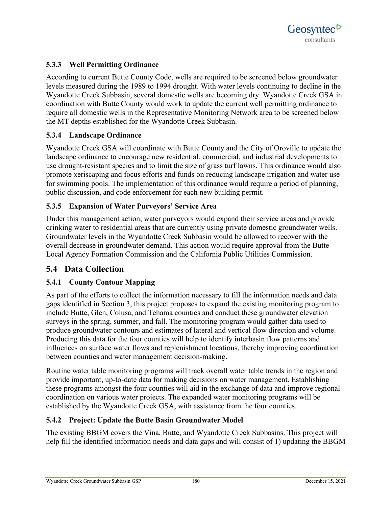

# **5.3.3 Well Permitting Ordinance**

According to current Butte County Code, wells are required to be screened below groundwater levels measured during the 1989 to 1994 drought. With water levels continuing to decline in the Wyandotte Creek Subbasin, several domestic wells are becoming dry. Wyandotte Creek GSA in coordination with Butte County would work to update the current well permitting ordinance to require all domestic wells in the Representative Monitoring Network area to be screened below the MT depths established for the Wyandotte Creek Subbasin.

### **5.3.4 Landscape Ordinance**

Wyandotte Creek GSA will coordinate with Butte County and the City of Oroville to update the landscape ordinance to encourage new residential, commercial, and industrial developments to use drought-resistant species and to limit the size of grass turf lawns. This ordinance would also promote xeriscaping and focus efforts and funds on reducing landscape irrigation and water use for swimming pools. The implementation of this ordinance would require a period of planning, public discussion, and code enforcement for each new building permit.

# **5.3.5 Expansion of Water Purveyors' Service Area**

Under this management action, water purveyors would expand their service areas and provide drinking water to residential areas that are currently using private domestic groundwater wells. Groundwater levels in the Wyandotte Creek Subbasin would be allowed to recover with the overall decrease in groundwater demand. This action would require approval from the Butte Local Agency Formation Commission and the California Public Utilities Commission.

# **5.4 Data Collection**

# **5.4.1 County Contour Mapping**

As part of the efforts to collect the information necessary to fill the information needs and data gaps identified in Section 3, this project proposes to expand the existing monitoring program to include Butte, Glen, Colusa, and Tehama counties and conduct these groundwater elevation surveys in the spring, summer, and fall. The monitoring program would gather data used to produce groundwater contours and estimates of lateral and vertical flow direction and volume. Producing this data for the four counties will help to identify interbasin flow patterns and influences on surface water flows and replenishment locations, thereby improving coordination between counties and water management decision-making.

Routine water table monitoring programs will track overall water table trends in the region and provide important, up-to-date data for making decisions on water management. Establishing these programs amongst the four counties will aid in the exchange of data and improve regional coordination on various water projects. The expanded water monitoring programs will be established by the Wyandotte Creek GSA, with assistance from the four counties.

# **5.4.2 Project: Update the Butte Basin Groundwater Model**

The existing BBGM covers the Vina, Butte, and Wyandotte Creek Subbasins. This project will help fill the identified information needs and data gaps and will consist of 1) updating the BBGM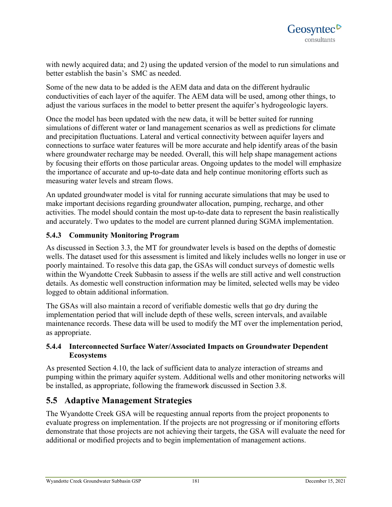with newly acquired data; and 2) using the updated version of the model to run simulations and better establish the basin's SMC as needed.

Some of the new data to be added is the AEM data and data on the different hydraulic conductivities of each layer of the aquifer. The AEM data will be used, among other things, to adjust the various surfaces in the model to better present the aquifer's hydrogeologic layers.

Once the model has been updated with the new data, it will be better suited for running simulations of different water or land management scenarios as well as predictions for climate and precipitation fluctuations. Lateral and vertical connectivity between aquifer layers and connections to surface water features will be more accurate and help identify areas of the basin where groundwater recharge may be needed. Overall, this will help shape management actions by focusing their efforts on those particular areas. Ongoing updates to the model will emphasize the importance of accurate and up-to-date data and help continue monitoring efforts such as measuring water levels and stream flows.

An updated groundwater model is vital for running accurate simulations that may be used to make important decisions regarding groundwater allocation, pumping, recharge, and other activities. The model should contain the most up-to-date data to represent the basin realistically and accurately. Two updates to the model are current planned during SGMA implementation.

# **5.4.3 Community Monitoring Program**

As discussed in Section 3.3, the MT for groundwater levels is based on the depths of domestic wells. The dataset used for this assessment is limited and likely includes wells no longer in use or poorly maintained. To resolve this data gap, the GSAs will conduct surveys of domestic wells within the Wyandotte Creek Subbasin to assess if the wells are still active and well construction details. As domestic well construction information may be limited, selected wells may be video logged to obtain additional information.

The GSAs will also maintain a record of verifiable domestic wells that go dry during the implementation period that will include depth of these wells, screen intervals, and available maintenance records. These data will be used to modify the MT over the implementation period, as appropriate.

# **5.4.4 Interconnected Surface Water/Associated Impacts on Groundwater Dependent Ecosystems**

As presented Section 4.10, the lack of sufficient data to analyze interaction of streams and pumping within the primary aquifer system. Additional wells and other monitoring networks will be installed, as appropriate, following the framework discussed in Section 3.8.

# **5.5 Adaptive Management Strategies**

The Wyandotte Creek GSA will be requesting annual reports from the project proponents to evaluate progress on implementation. If the projects are not progressing or if monitoring efforts demonstrate that those projects are not achieving their targets, the GSA will evaluate the need for additional or modified projects and to begin implementation of management actions.